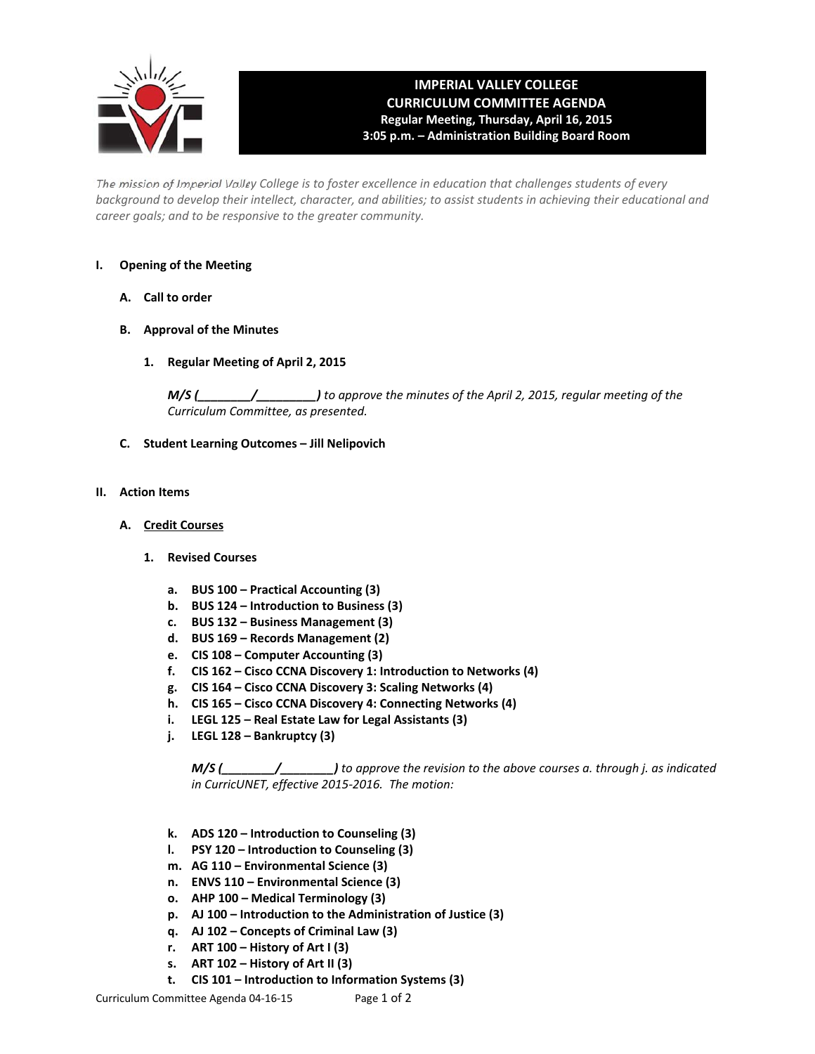

# **IMPERIAL VALLEY COLLEGE CURRICULUM COMMITTEE AGENDA Regular Meeting, Thursday, April 16, 2015 3:05 p.m. – Administration Building Board Room**

The mission of Imperial Valley College is to foster excellence in education that challenges students of every background to develop their intellect, character, and abilities; to assist students in achieving their educational and *career goals; and to be responsive to the greater community.*

#### **I. Opening of the Meeting**

- **A. Call to order**
- **B. Approval of the Minutes**
	- **1. Regular Meeting of April 2, 2015**

*M/S (\_\_\_\_\_\_\_\_/\_\_\_\_\_\_\_\_\_) to approve the minutes of the April 2, 2015, regular meeting of the Curriculum Committee, as presented.* 

**C. Student Learning Outcomes – Jill Nelipovich**

#### **II. Action Items**

- **A. Credit Courses**
	- **1. Revised Courses**
		- **a. BUS 100 – Practical Accounting (3)**
		- **b. BUS 124 – Introduction to Business (3)**
		- **c. BUS 132 – Business Management (3)**
		- **d. BUS 169 – Records Management (2)**
		- **e. CIS 108 – Computer Accounting (3)**
		- **f. CIS 162 – Cisco CCNA Discovery 1: Introduction to Networks (4)**
		- **g. CIS 164 – Cisco CCNA Discovery 3: Scaling Networks (4)**
		- **h. CIS 165 – Cisco CCNA Discovery 4: Connecting Networks (4)**
		- **i. LEGL 125 – Real Estate Law for Legal Assistants (3)**
		- **j. LEGL 128 – Bankruptcy (3)**

*M/S (\_\_\_\_\_\_\_\_/\_\_\_\_\_\_\_\_) to approve the revision to the above courses a. through j. as indicated in CurricUNET, effective 2015‐2016. The motion:*

- **k. ADS 120 – Introduction to Counseling (3)**
- **l. PSY 120 – Introduction to Counseling (3)**
- **m. AG 110 – Environmental Science (3)**
- **n. ENVS 110 – Environmental Science (3)**
- **o. AHP 100 – Medical Terminology (3)**
- **p. AJ 100 – Introduction to the Administration of Justice (3)**
- **q. AJ 102 – Concepts of Criminal Law (3)**
- **r. ART 100 – History of Art I (3)**
- **s. ART 102 – History of Art II (3)**
- **t. CIS 101 – Introduction to Information Systems (3)**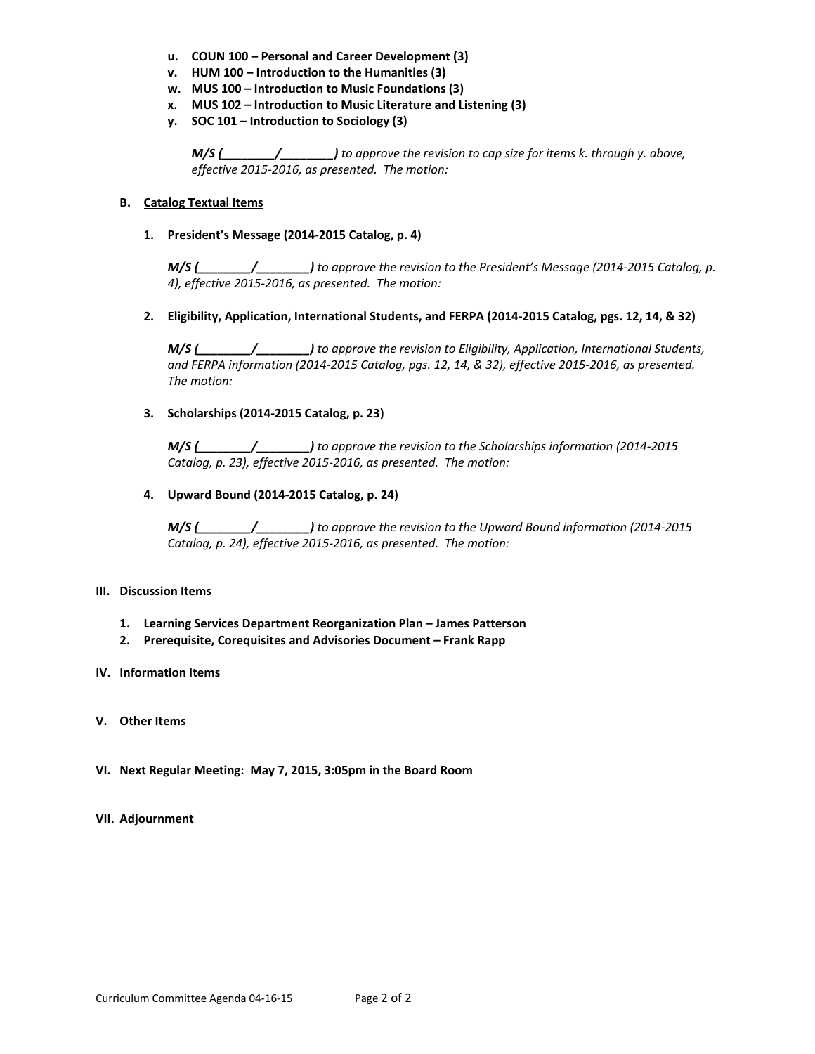- **u. COUN 100 – Personal and Career Development (3)**
- **v. HUM 100 – Introduction to the Humanities (3)**
- **w. MUS 100 – Introduction to Music Foundations (3)**
- **x. MUS 102 – Introduction to Music Literature and Listening (3)**
- **y. SOC 101 – Introduction to Sociology (3)**

*M/S (\_\_\_\_\_\_\_\_/\_\_\_\_\_\_\_\_) to approve the revision to cap size for items k. through y. above, effective 2015‐2016, as presented. The motion:*

#### **B. Catalog Textual Items**

#### **1. President's Message (2014‐2015 Catalog, p. 4)**

*M/S (\_\_\_\_\_\_\_\_/\_\_\_\_\_\_\_\_) to approve the revision to the President's Message (2014‐2015 Catalog, p. 4), effective 2015‐2016, as presented. The motion:*

#### **2. Eligibility, Application, International Students, and FERPA (2014‐2015 Catalog, pgs. 12, 14, & 32)**

*M/S (\_\_\_\_\_\_\_\_/\_\_\_\_\_\_\_\_) to approve the revision to Eligibility, Application, International Students,* and FERPA information (2014-2015 Catalog, pgs. 12, 14, & 32), effective 2015-2016, as presented. *The motion:*

#### **3. Scholarships (2014‐2015 Catalog, p. 23)**

*M/S (\_\_\_\_\_\_\_\_/\_\_\_\_\_\_\_\_) to approve the revision to the Scholarships information (2014‐2015 Catalog, p. 23), effective 2015‐2016, as presented. The motion:*

#### **4. Upward Bound (2014‐2015 Catalog, p. 24)**

*M/S (\_\_\_\_\_\_\_\_/\_\_\_\_\_\_\_\_) to approve the revision to the Upward Bound information (2014‐2015 Catalog, p. 24), effective 2015‐2016, as presented. The motion:*

#### **III. Discussion Items**

- **1. Learning Services Department Reorganization Plan – James Patterson**
- **2. Prerequisite, Corequisites and Advisories Document – Frank Rapp**
- **IV. Information Items**
- **V. Other Items**
- **VI. Next Regular Meeting: May 7, 2015, 3:05pm in the Board Room**

#### **VII. Adjournment**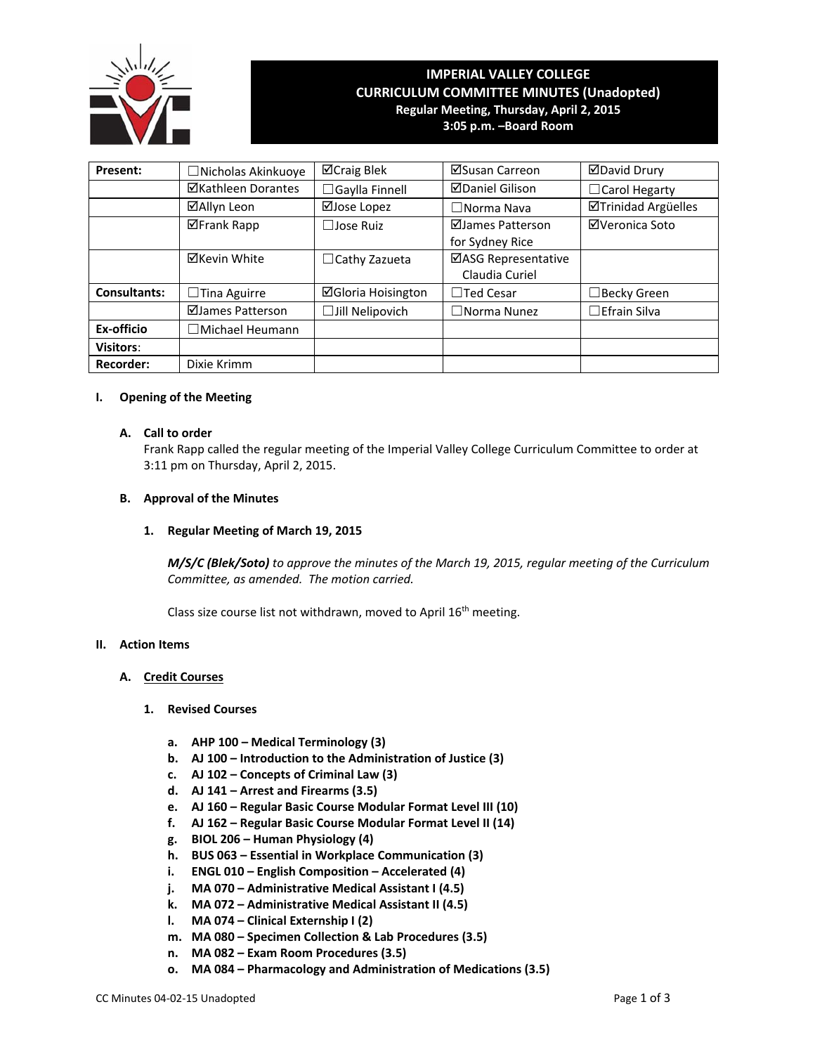

# **IMPERIAL VALLEY COLLEGE CURRICULUM COMMITTEE MINUTES (Unadopted) Regular Meeting, Thursday, April 2, 2015**

**3:05 p.m. –Board Room**

| <b>Present:</b>     | □Nicholas Akinkuoye       | ⊠Craig Blek               | ⊠Susan Carreon         | <b>ØDavid Drury</b> |
|---------------------|---------------------------|---------------------------|------------------------|---------------------|
|                     | <b>⊠Kathleen Dorantes</b> | $\Box$ Gaylla Finnell     | <b>⊠Daniel Gilison</b> | □ Carol Hegarty     |
|                     | ⊠Allyn Leon               | ⊠Jose Lopez               | $\Box$ Norma Nava      | ⊠Trinidad Argüelles |
|                     | <b>⊠Frank Rapp</b>        | $\Box$ Jose Ruiz          | ⊠James Patterson       | ⊠Veronica Soto      |
|                     |                           |                           | for Sydney Rice        |                     |
|                     | <b>⊠Kevin White</b>       | $\Box$ Cathy Zazueta      | ⊠ASG Representative    |                     |
|                     |                           |                           | Claudia Curiel         |                     |
| <b>Consultants:</b> | $\Box$ Tina Aguirre       | <b>⊠Gloria Hoisington</b> | $\Box$ Ted Cesar       | ∃Becky Green        |
|                     | ⊠James Patterson          | □Jill Nelipovich          | $\Box$ Norma Nunez     | $\Box$ Efrain Silva |
| Ex-officio          | $\Box$ Michael Heumann    |                           |                        |                     |
| <b>Visitors:</b>    |                           |                           |                        |                     |
| <b>Recorder:</b>    | Dixie Krimm               |                           |                        |                     |

#### **I. Opening of the Meeting**

#### **A. Call to order**

Frank Rapp called the regular meeting of the Imperial Valley College Curriculum Committee to order at 3:11 pm on Thursday, April 2, 2015.

#### **B. Approval of the Minutes**

#### **1. Regular Meeting of March 19, 2015**

*M/S/C (Blek/Soto) to approve the minutes of the March 19, 2015, regular meeting of the Curriculum Committee, as amended. The motion carried.*

Class size course list not withdrawn, moved to April 16<sup>th</sup> meeting.

#### **II. Action Items**

#### **A. Credit Courses**

#### **1. Revised Courses**

- **a. AHP 100 – Medical Terminology (3)**
- **b. AJ 100 – Introduction to the Administration of Justice (3)**
- **c. AJ 102 – Concepts of Criminal Law (3)**
- **d. AJ 141 – Arrest and Firearms (3.5)**
- **e. AJ 160 – Regular Basic Course Modular Format Level III (10)**
- **f. AJ 162 – Regular Basic Course Modular Format Level II (14)**
- **g. BIOL 206 – Human Physiology (4)**
- **h. BUS 063 – Essential in Workplace Communication (3)**
- **i. ENGL 010 – English Composition – Accelerated (4)**
- **j. MA 070 – Administrative Medical Assistant I (4.5)**
- **k. MA 072 – Administrative Medical Assistant II (4.5)**
- **l. MA 074 – Clinical Externship I (2)**
- **m. MA 080 – Specimen Collection & Lab Procedures (3.5)**
- **n. MA 082 – Exam Room Procedures (3.5)**
- **o. MA 084 – Pharmacology and Administration of Medications (3.5)**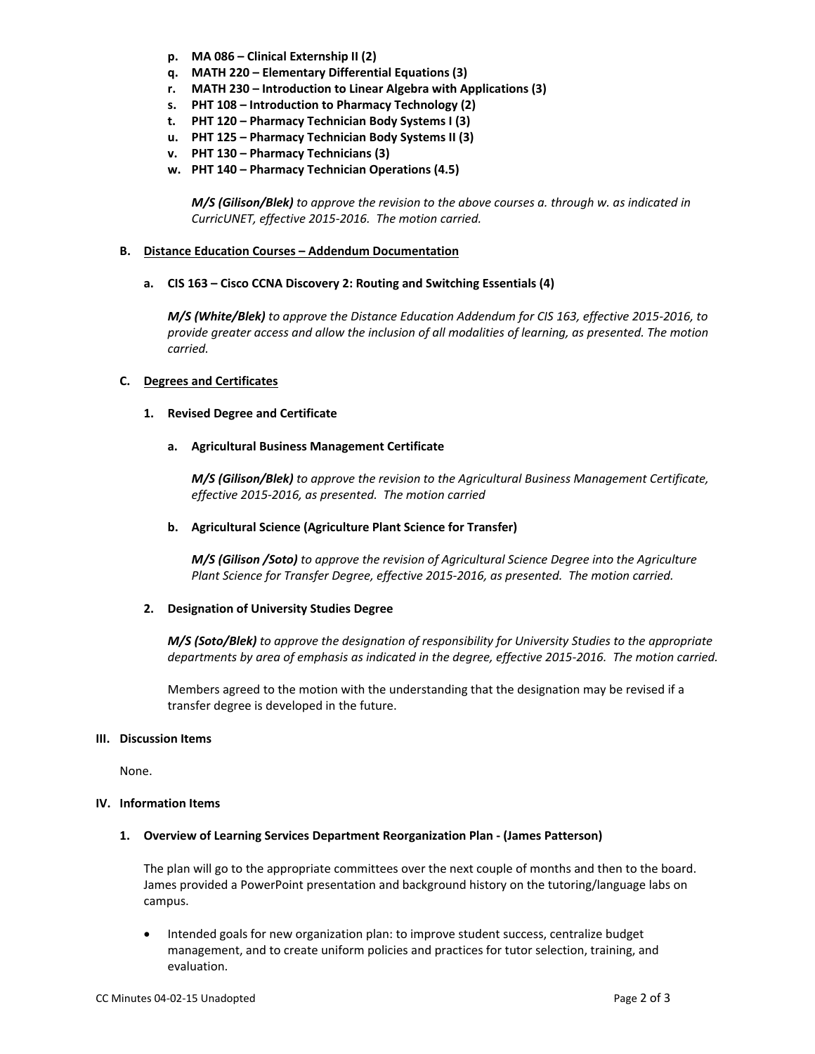- **p. MA 086 – Clinical Externship II (2)**
- **q. MATH 220 – Elementary Differential Equations (3)**
- **r. MATH 230 – Introduction to Linear Algebra with Applications (3)**
- **s. PHT 108 – Introduction to Pharmacy Technology (2)**
- **t. PHT 120 – Pharmacy Technician Body Systems I (3)**
- **u. PHT 125 – Pharmacy Technician Body Systems II (3)**
- **v. PHT 130 – Pharmacy Technicians (3)**
- **w. PHT 140 – Pharmacy Technician Operations (4.5)**

*M/S (Gilison/Blek) to approve the revision to the above courses a. through w. as indicated in CurricUNET, effective 2015‐2016. The motion carried.*

#### **B. Distance Education Courses – Addendum Documentation**

**a. CIS 163 – Cisco CCNA Discovery 2: Routing and Switching Essentials (4)**

*M/S (White/Blek) to approve the Distance Education Addendum for CIS 163, effective 2015‐2016, to provide greater access and allow the inclusion of all modalities of learning, as presented. The motion carried.*

#### **C. Degrees and Certificates**

#### **1. Revised Degree and Certificate**

#### **a. Agricultural Business Management Certificate**

*M/S (Gilison/Blek) to approve the revision to the Agricultural Business Management Certificate, effective 2015‐2016, as presented. The motion carried*

#### **b. Agricultural Science (Agriculture Plant Science for Transfer)**

*M/S (Gilison /Soto) to approve the revision of Agricultural Science Degree into the Agriculture Plant Science for Transfer Degree, effective 2015‐2016, as presented. The motion carried.*

#### **2. Designation of University Studies Degree**

*M/S (Soto/Blek) to approve the designation of responsibility for University Studies to the appropriate* departments by area of emphasis as indicated in the degree, effective 2015-2016. The motion carried.

Members agreed to the motion with the understanding that the designation may be revised if a transfer degree is developed in the future.

#### **III. Discussion Items**

None.

#### **IV. Information Items**

#### **1. Overview of Learning Services Department Reorganization Plan ‐ (James Patterson)**

The plan will go to the appropriate committees over the next couple of months and then to the board. James provided a PowerPoint presentation and background history on the tutoring/language labs on campus.

• Intended goals for new organization plan: to improve student success, centralize budget management, and to create uniform policies and practices for tutor selection, training, and evaluation.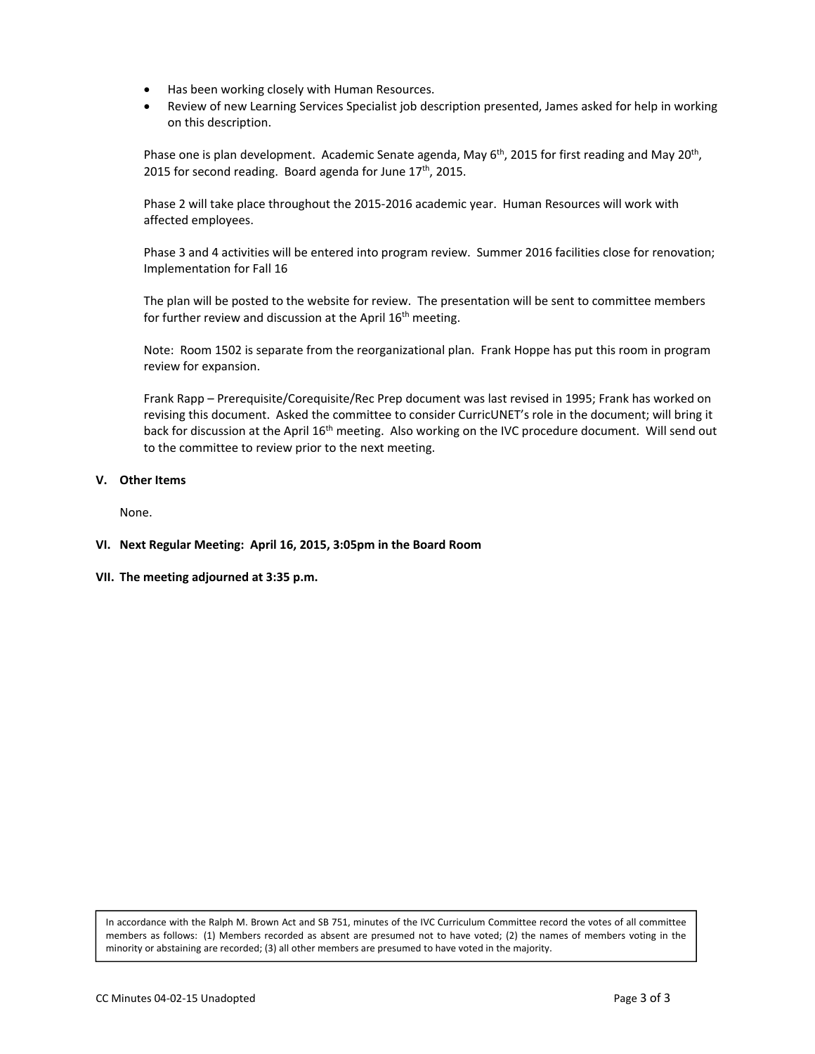- Has been working closely with Human Resources.
- Review of new Learning Services Specialist job description presented, James asked for help in working on this description.

Phase one is plan development. Academic Senate agenda, May 6<sup>th</sup>, 2015 for first reading and May 20<sup>th</sup>, 2015 for second reading. Board agenda for June  $17<sup>th</sup>$ , 2015.

Phase 2 will take place throughout the 2015‐2016 academic year. Human Resources will work with affected employees.

Phase 3 and 4 activities will be entered into program review. Summer 2016 facilities close for renovation; Implementation for Fall 16

The plan will be posted to the website for review. The presentation will be sent to committee members for further review and discussion at the April 16<sup>th</sup> meeting.

Note: Room 1502 is separate from the reorganizational plan. Frank Hoppe has put this room in program review for expansion.

Frank Rapp – Prerequisite/Corequisite/Rec Prep document was last revised in 1995; Frank has worked on revising this document. Asked the committee to consider CurricUNET's role in the document; will bring it back for discussion at the April 16<sup>th</sup> meeting. Also working on the IVC procedure document. Will send out to the committee to review prior to the next meeting.

#### **V. Other Items**

None.

- **VI. Next Regular Meeting: April 16, 2015, 3:05pm in the Board Room**
- **VII. The meeting adjourned at 3:35 p.m.**

In accordance with the Ralph M. Brown Act and SB 751, minutes of the IVC Curriculum Committee record the votes of all committee members as follows: (1) Members recorded as absent are presumed not to have voted; (2) the names of members voting in the minority or abstaining are recorded; (3) all other members are presumed to have voted in the majority.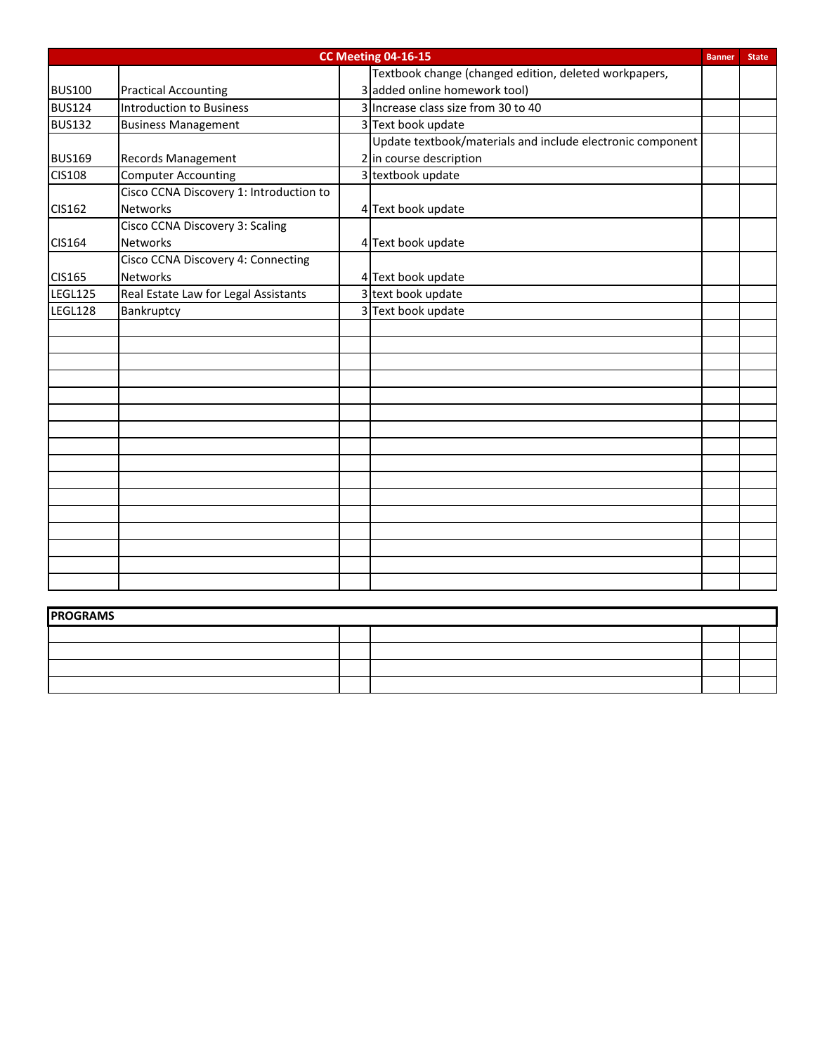| CC Meeting 04-16-15<br><b>Banner</b><br><b>State</b> |                                         |  |                                                            |  |  |
|------------------------------------------------------|-----------------------------------------|--|------------------------------------------------------------|--|--|
|                                                      |                                         |  | Textbook change (changed edition, deleted workpapers,      |  |  |
| <b>BUS100</b>                                        | <b>Practical Accounting</b>             |  | 3 added online homework tool)                              |  |  |
| <b>BUS124</b>                                        | Introduction to Business                |  | 3 Increase class size from 30 to 40                        |  |  |
| <b>BUS132</b>                                        | <b>Business Management</b>              |  | 3 Text book update                                         |  |  |
|                                                      |                                         |  | Update textbook/materials and include electronic component |  |  |
| <b>BUS169</b>                                        | <b>Records Management</b>               |  | 2 in course description                                    |  |  |
| <b>CIS108</b>                                        | <b>Computer Accounting</b>              |  | 3 textbook update                                          |  |  |
|                                                      | Cisco CCNA Discovery 1: Introduction to |  |                                                            |  |  |
| <b>CIS162</b>                                        | <b>Networks</b>                         |  | 4 Text book update                                         |  |  |
|                                                      | <b>Cisco CCNA Discovery 3: Scaling</b>  |  |                                                            |  |  |
| <b>CIS164</b>                                        | <b>Networks</b>                         |  | 4 Text book update                                         |  |  |
|                                                      | Cisco CCNA Discovery 4: Connecting      |  |                                                            |  |  |
| <b>CIS165</b>                                        | <b>Networks</b>                         |  | 4 Text book update                                         |  |  |
| LEGL125                                              | Real Estate Law for Legal Assistants    |  | 3 text book update                                         |  |  |
| LEGL128                                              | Bankruptcy                              |  | 3 Text book update                                         |  |  |
|                                                      |                                         |  |                                                            |  |  |
|                                                      |                                         |  |                                                            |  |  |
|                                                      |                                         |  |                                                            |  |  |
|                                                      |                                         |  |                                                            |  |  |
|                                                      |                                         |  |                                                            |  |  |
|                                                      |                                         |  |                                                            |  |  |
|                                                      |                                         |  |                                                            |  |  |
|                                                      |                                         |  |                                                            |  |  |
|                                                      |                                         |  |                                                            |  |  |
|                                                      |                                         |  |                                                            |  |  |
|                                                      |                                         |  |                                                            |  |  |
|                                                      |                                         |  |                                                            |  |  |
|                                                      |                                         |  |                                                            |  |  |
|                                                      |                                         |  |                                                            |  |  |
|                                                      |                                         |  |                                                            |  |  |
|                                                      |                                         |  |                                                            |  |  |
|                                                      |                                         |  |                                                            |  |  |
| <b>PROGRAMS</b>                                      |                                         |  |                                                            |  |  |
|                                                      |                                         |  |                                                            |  |  |
|                                                      |                                         |  |                                                            |  |  |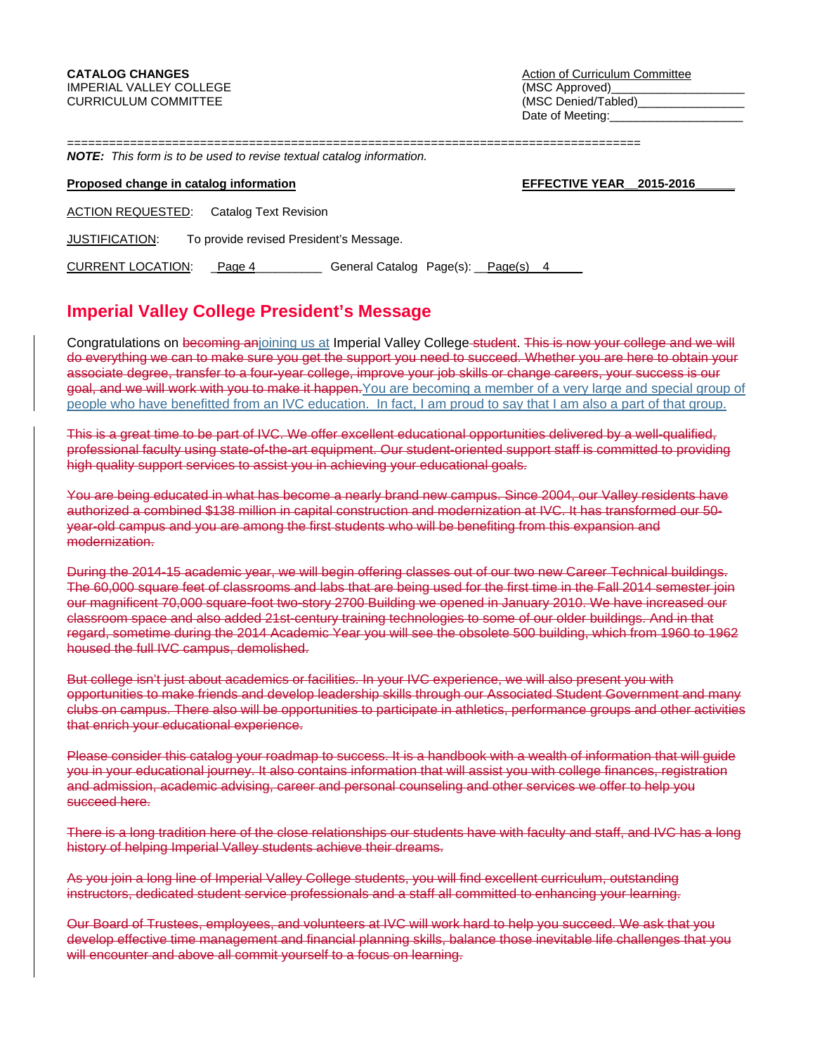Date of Meeting:

============<br>"===========

|  |  |  |  |  |  |  | <b>NOTE:</b> This form is to be used to revise textual catalog information. |
|--|--|--|--|--|--|--|-----------------------------------------------------------------------------|
|--|--|--|--|--|--|--|-----------------------------------------------------------------------------|

#### **Proposed change in catalog information EFFECTIVE YEAR\_2015-2016**

ACTION REQUESTED: Catalog Text Revision

JUSTIFICATION: To provide revised President's Message.

CURRENT LOCATION: Page 4 Conserved Catalog Page(s): Page(s) 4

# **Imperial Valley College President's Message**

Congratulations on becoming anjoining us at Imperial Valley College student. This is now your college and we will do everything we can to make sure you get the support you need to succeed. Whether you are here to obtain your associate degree, transfer to a four-year college, improve your job skills or change careers, your success is our goal, and we will work with you to make it happen. You are becoming a member of a very large and special group of people who have benefitted from an IVC education. In fact, I am proud to say that I am also a part of that group.

This is a great time to be part of IVC. We offer excellent educational opportunities delivered by a well-qualified, professional faculty using state-of-the-art equipment. Our student-oriented support staff is committed to providing high quality support services to assist you in achieving your educational goals.

You are being educated in what has become a nearly brand new campus. Since 2004, our Valley residents have authorized a combined \$138 million in capital construction and modernization at IVC. It has transformed our 50 year-old campus and you are among the first students who will be benefiting from this expansion and modernization.

During the 2014-15 academic year, we will begin offering classes out of our two new Career Technical buildings. The 60,000 square feet of classrooms and labs that are being used for the first time in the Fall 2014 semester join our magnificent 70,000 square-foot two-story 2700 Building we opened in January 2010. We have increased our classroom space and also added 21st-century training technologies to some of our older buildings. And in that regard, sometime during the 2014 Academic Year you will see the obsolete 500 building, which from 1960 to 1962 housed the full IVC campus, demolished.

But college isn't just about academics or facilities. In your IVC experience, we will also present you with opportunities to make friends and develop leadership skills through our Associated Student Government and many clubs on campus. There also will be opportunities to participate in athletics, performance groups and other activities that enrich your educational experience.

Please consider this catalog your roadmap to success. It is a handbook with a wealth of information that will guide you in your educational journey. It also contains information that will assist you with college finances, registration and admission, academic advising, career and personal counseling and other services we offer to help you succeed here.

There is a long tradition here of the close relationships our students have with faculty and staff, and IVC has a long history of helping Imperial Valley students achieve their dreams.

As you join a long line of Imperial Valley College students, you will find excellent curriculum, outstanding instructors, dedicated student service professionals and a staff all committed to enhancing your learning.

Our Board of Trustees, employees, and volunteers at IVC will work hard to help you succeed. We ask that you develop effective time management and financial planning skills, balance those inevitable life challenges that you will encounter and above all commit yourself to a focus on learning.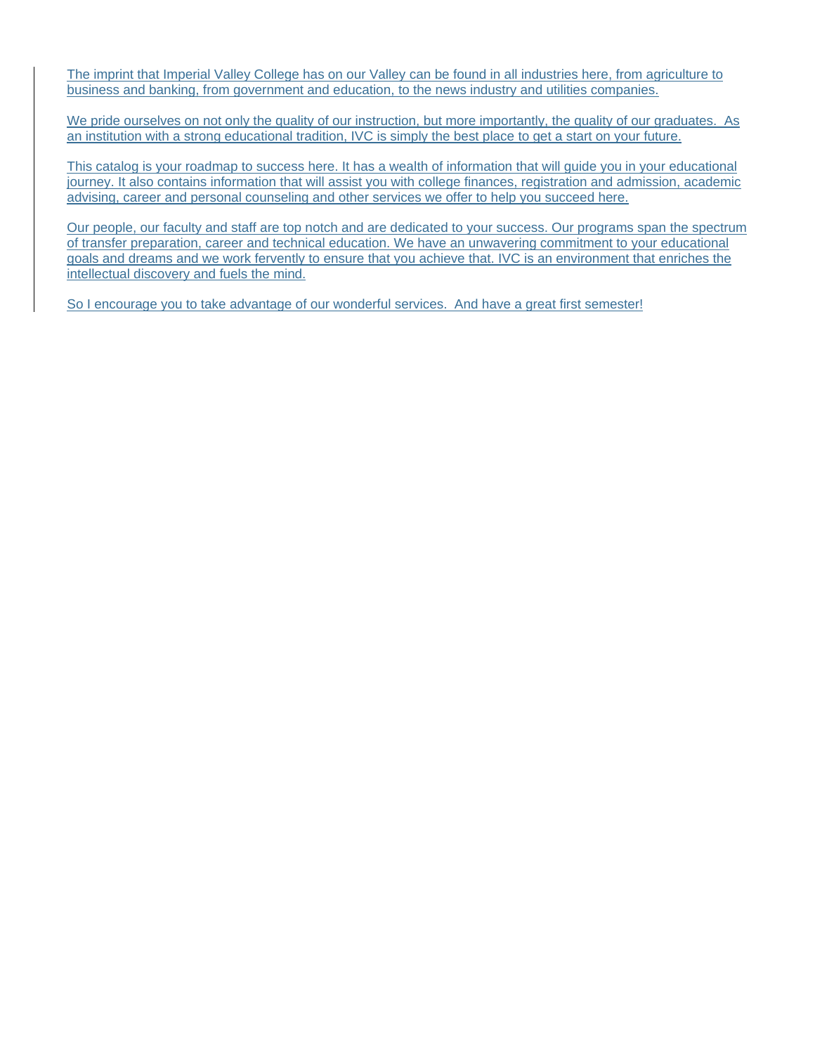The imprint that Imperial Valley College has on our Valley can be found in all industries here, from agriculture to business and banking, from government and education, to the news industry and utilities companies.

We pride ourselves on not only the quality of our instruction, but more importantly, the quality of our graduates. As an institution with a strong educational tradition, IVC is simply the best place to get a start on your future.

This catalog is your roadmap to success here. It has a wealth of information that will guide you in your educational journey. It also contains information that will assist you with college finances, registration and admission, academic advising, career and personal counseling and other services we offer to help you succeed here.

Our people, our faculty and staff are top notch and are dedicated to your success. Our programs span the spectrum of transfer preparation, career and technical education. We have an unwavering commitment to your educational goals and dreams and we work fervently to ensure that you achieve that. IVC is an environment that enriches the intellectual discovery and fuels the mind.

So I encourage you to take advantage of our wonderful services. And have a great first semester!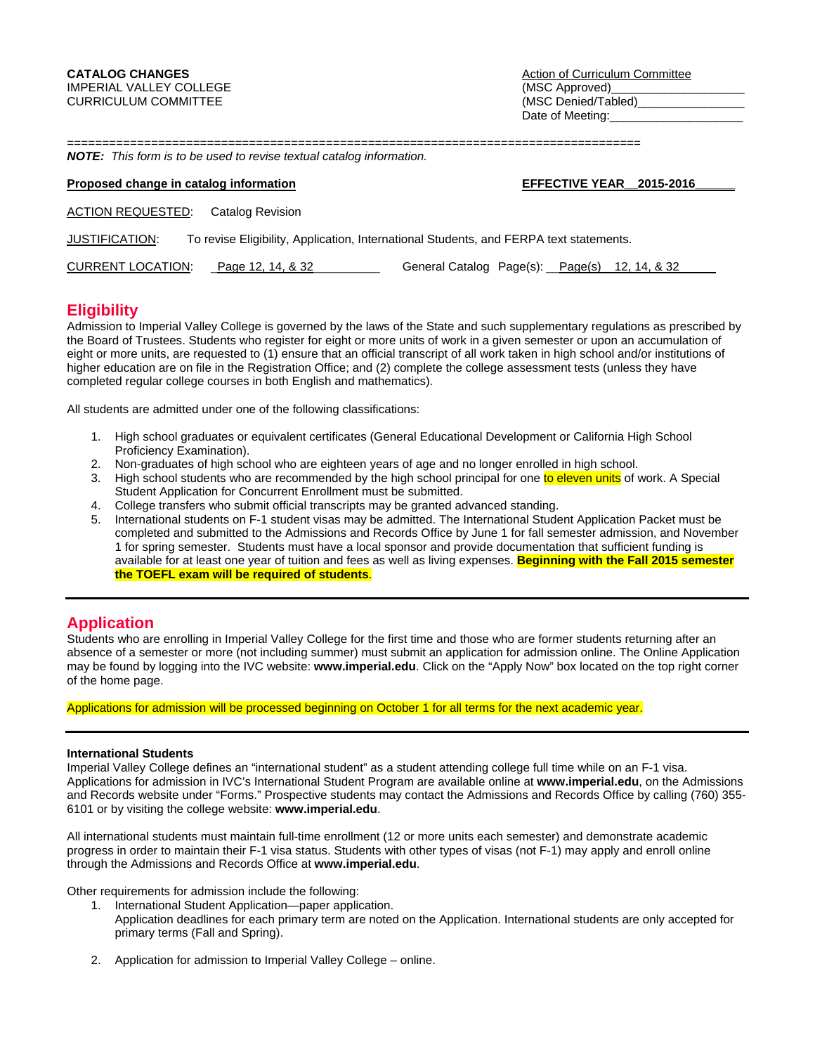**CATALOG CHANGES CATALOG CHANGES Action of Curriculum Committee** Date of Meeting:

================================================================================== *NOTE: This form is to be used to revise textual catalog information.* 

| <b>NOTE:</b> This form is to be used to revise textual catalog information.                                     |                          |  |  |  |  |  |
|-----------------------------------------------------------------------------------------------------------------|--------------------------|--|--|--|--|--|
| Proposed change in catalog information                                                                          | EFFECTIVE YEAR 2015-2016 |  |  |  |  |  |
| <b>ACTION REQUESTED:</b> Catalog Revision                                                                       |                          |  |  |  |  |  |
| To revise Eligibility, Application, International Students, and FERPA text statements.<br><b>JUSTIFICATION:</b> |                          |  |  |  |  |  |

CURRENT LOCATION: Page 12, 14, & 32 General Catalog Page(s): Page(s) 12, 14, & 32

### **Eligibility**

Admission to Imperial Valley College is governed by the laws of the State and such supplementary regulations as prescribed by the Board of Trustees. Students who register for eight or more units of work in a given semester or upon an accumulation of eight or more units, are requested to (1) ensure that an official transcript of all work taken in high school and/or institutions of higher education are on file in the Registration Office; and (2) complete the college assessment tests (unless they have completed regular college courses in both English and mathematics).

All students are admitted under one of the following classifications:

- 1. High school graduates or equivalent certificates (General Educational Development or California High School Proficiency Examination).
- 2. Non-graduates of high school who are eighteen years of age and no longer enrolled in high school.
- 3. High school students who are recommended by the high school principal for one to eleven units of work. A Special Student Application for Concurrent Enrollment must be submitted.
- 4. College transfers who submit official transcripts may be granted advanced standing.
- 5. International students on F-1 student visas may be admitted. The International Student Application Packet must be completed and submitted to the Admissions and Records Office by June 1 for fall semester admission, and November 1 for spring semester. Students must have a local sponsor and provide documentation that sufficient funding is available for at least one year of tuition and fees as well as living expenses. **Beginning with the Fall 2015 semester the TOEFL exam will be required of students**.

## **Application**

Students who are enrolling in Imperial Valley College for the first time and those who are former students returning after an absence of a semester or more (not including summer) must submit an application for admission online. The Online Application may be found by logging into the IVC website: **www.imperial.edu**. Click on the "Apply Now" box located on the top right corner of the home page.

Applications for admission will be processed beginning on October 1 for all terms for the next academic year.

#### **International Students**

Imperial Valley College defines an "international student" as a student attending college full time while on an F-1 visa. Applications for admission in IVC's International Student Program are available online at **www.imperial.edu**, on the Admissions and Records website under "Forms." Prospective students may contact the Admissions and Records Office by calling (760) 355- 6101 or by visiting the college website: **www.imperial.edu**.

All international students must maintain full-time enrollment (12 or more units each semester) and demonstrate academic progress in order to maintain their F-1 visa status. Students with other types of visas (not F-1) may apply and enroll online through the Admissions and Records Office at **www.imperial.edu**.

Other requirements for admission include the following:

- 1. International Student Application—paper application. Application deadlines for each primary term are noted on the Application. International students are only accepted for primary terms (Fall and Spring).
- 2. Application for admission to Imperial Valley College online.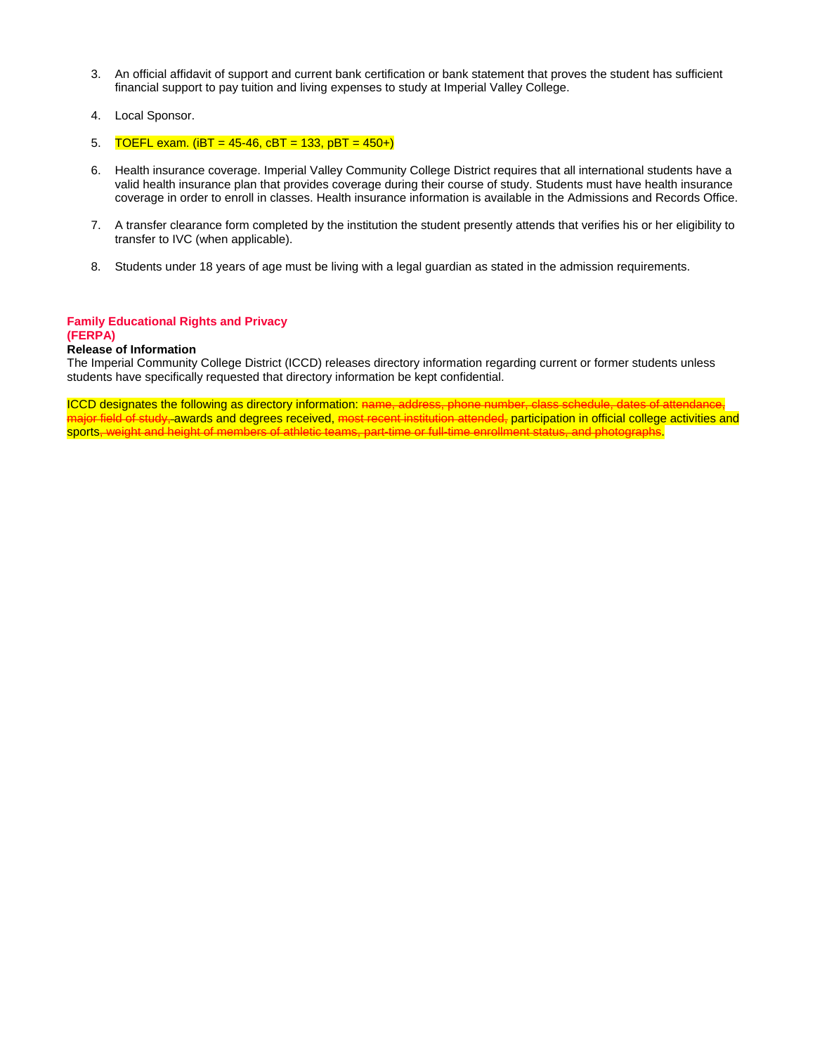- 3. An official affidavit of support and current bank certification or bank statement that proves the student has sufficient financial support to pay tuition and living expenses to study at Imperial Valley College.
- 4. Local Sponsor.
- 5. TOEFL exam. ( $iBT = 45-46$ ,  $cBT = 133$ ,  $pBT = 450+$ )
- 6. Health insurance coverage. Imperial Valley Community College District requires that all international students have a valid health insurance plan that provides coverage during their course of study. Students must have health insurance coverage in order to enroll in classes. Health insurance information is available in the Admissions and Records Office.
- 7. A transfer clearance form completed by the institution the student presently attends that verifies his or her eligibility to transfer to IVC (when applicable).
- 8. Students under 18 years of age must be living with a legal guardian as stated in the admission requirements.

#### **Family Educational Rights and Privacy (FERPA)**

#### **Release of Information**

The Imperial Community College District (ICCD) releases directory information regarding current or former students unless students have specifically requested that directory information be kept confidential.

ICCD designates the following as directory information: name, address, phone number, class schedule, dates of attendance, najor field of study, awards and degrees received, <del>most recent institution attended,</del> participation in official college activities and<br>ports–weight and beight of members of athletic teams, part-time or full-time enrollmen sports, weight and height of members of athletic teams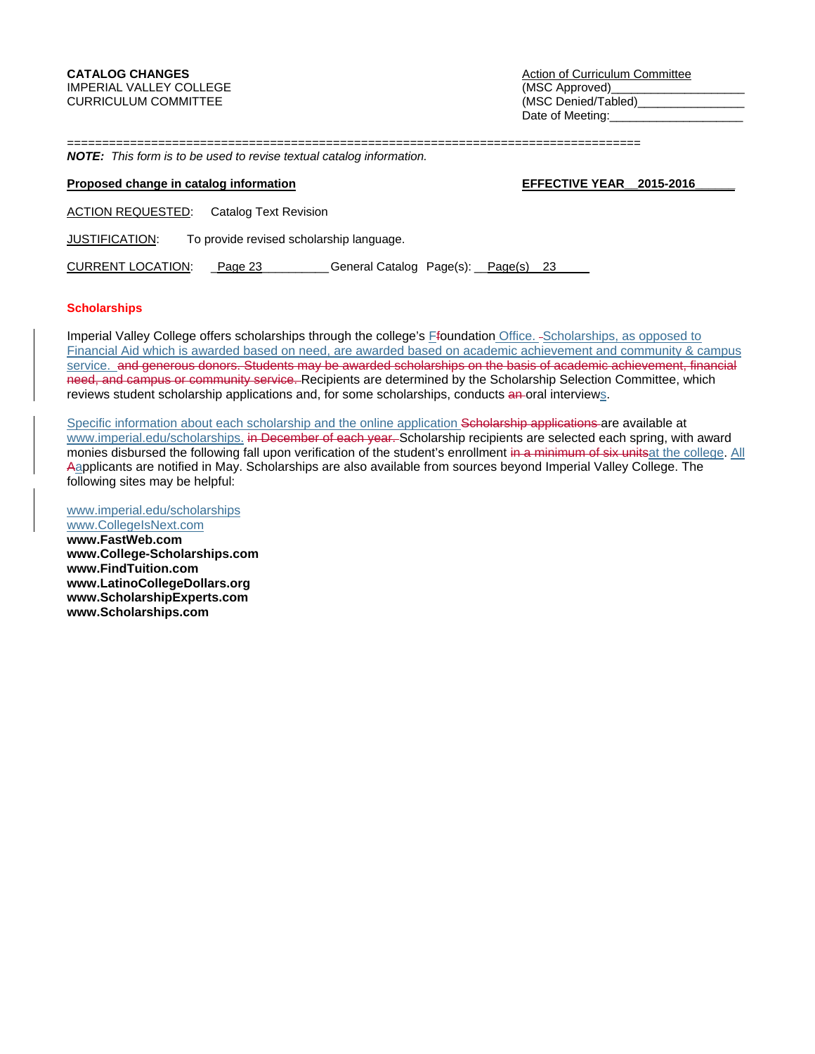**CATALOG CHANGES CATALOG CHANGES Action of Curriculum Committee** Date of Meeting:

==================================================================================

# *NOTE: This form is to be used to revise textual catalog information.*

#### **Proposed change in catalog information EFFECTIVE YEAR\_2015-2016**

ACTION REQUESTED: Catalog Text Revision

JUSTIFICATION: To provide revised scholarship language.

CURRENT LOCATION: Page 23 \_\_\_\_\_\_\_\_\_\_ General Catalog Page(s): Page(s) 23

**Scholarships** 

Imperial Valley College offers scholarships through the college's *Efoundation Office.* -Scholarships, as opposed to Financial Aid which is awarded based on need, are awarded based on academic achievement and community & campus service. and generous donors. Students may be awarded scholarships on the basis of academic achievement, financial need, and campus or community service. Recipients are determined by the Scholarship Selection Committee, which reviews student scholarship applications and, for some scholarships, conducts an oral interviews.

Specific information about each scholarship and the online application Scholarship applications are available at www.imperial.edu/scholarships. in December of each year. Scholarship recipients are selected each spring, with award monies disbursed the following fall upon verification of the student's enrollment in a minimum of six unitsat the college. All Aapplicants are notified in May. Scholarships are also available from sources beyond Imperial Valley College. The following sites may be helpful:

www.imperial.edu/scholarships www.CollegeIsNext.com **www.FastWeb.com www.College-Scholarships.com www.FindTuition.com www.LatinoCollegeDollars.org www.ScholarshipExperts.com www.Scholarships.com**